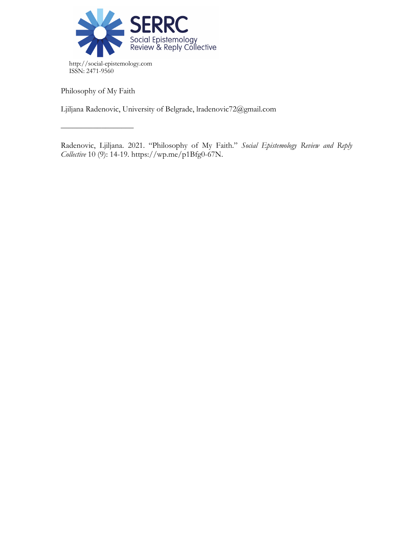

Philosophy of My Faith

––––––––––––––––––

Ljiljana Radenovic, University of Belgrade, lradenovic72@gmail.com

Radenovic, Ljiljana. 2021. "Philosophy of My Faith." *Social Epistemology Review and Reply Collective* 10 (9): 14-19. https://wp.me/p1Bfg0-67N.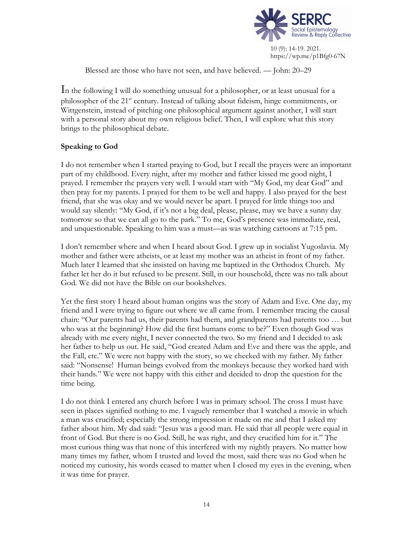

Blessed are those who have not seen, and have believed. — John: 20–29

In the following I will do something unusual for a philosopher, or at least unusual for a philosopher of the 21st century. Instead of talking about fideism, hinge commitments, or Wittgenstein, instead of pitching one philosophical argument against another, I will start with a personal story about my own religious belief. Then, I will explore what this story brings to the philosophical debate.

# **Speaking to God**

I do not remember when I started praying to God, but I recall the prayers were an important part of my childhood. Every night, after my mother and father kissed me good night, I prayed. I remember the prayers very well. I would start with "My God, my dear God" and then pray for my parents. I prayed for them to be well and happy. I also prayed for the best friend, that she was okay and we would never be apart. I prayed for little things too and would say silently: "My God, if it's not a big deal, please, please, may we have a sunny day tomorrow so that we can all go to the park." To me, God's presence was immediate, real, and unquestionable. Speaking to him was a must—as was watching cartoons at 7:15 pm.

I don't remember where and when I heard about God. I grew up in socialist Yugoslavia. My mother and father were atheists, or at least my mother was an atheist in front of my father. Much later I learned that she insisted on having me baptized in the Orthodox Church. My father let her do it but refused to be present. Still, in our household, there was no talk about God. We did not have the Bible on our bookshelves.

Yet the first story I heard about human origins was the story of Adam and Eve. One day, my friend and I were trying to figure out where we all came from. I remember tracing the causal chain: "Our parents had us, their parents had them, and grandparents had parents too … but who was at the beginning? How did the first humans come to be?" Even though God was already with me every night, I never connected the two. So my friend and I decided to ask her father to help us out. He said, "God created Adam and Eve and there was the apple, and the Fall, etc." We were not happy with the story, so we checked with my father. My father said: "Nonsense! Human beings evolved from the monkeys because they worked hard with their hands." We were not happy with this either and decided to drop the question for the time being.

I do not think I entered any church before I was in primary school. The cross I must have seen in places signified nothing to me. I vaguely remember that I watched a movie in which a man was crucified; especially the strong impression it made on me and that I asked my father about him. My dad said: "Jesus was a good man. He said that all people were equal in front of God. But there is no God. Still, he was right, and they crucified him for it." The most curious thing was that none of this interfered with my nightly prayers. No matter how many times my father, whom I trusted and loved the most, said there was no God when he noticed my curiosity, his words ceased to matter when I closed my eyes in the evening, when it was time for prayer.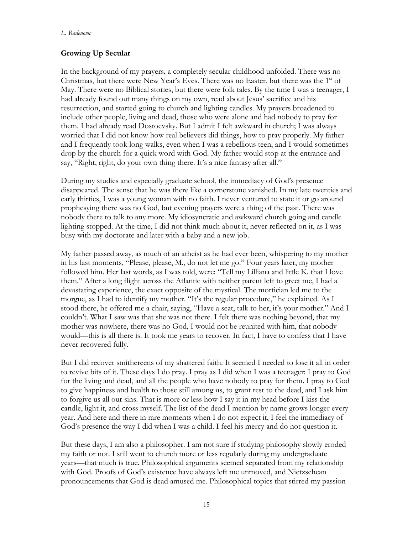#### *L. Radenovic*

# **Growing Up Secular**

In the background of my prayers, a completely secular childhood unfolded. There was no Christmas, but there were New Year's Eves. There was no Easter, but there was the  $1<sup>st</sup>$  of May. There were no Biblical stories, but there were folk tales. By the time I was a teenager, I had already found out many things on my own, read about Jesus' sacrifice and his resurrection, and started going to church and lighting candles. My prayers broadened to include other people, living and dead, those who were alone and had nobody to pray for them. I had already read Dostoevsky. But I admit I felt awkward in church; I was always worried that I did not know how real believers did things, how to pray properly. My father and I frequently took long walks, even when I was a rebellious teen, and I would sometimes drop by the church for a quick word with God. My father would stop at the entrance and say, "Right, right, do your own thing there. It's a nice fantasy after all."

During my studies and especially graduate school, the immediacy of God's presence disappeared. The sense that he was there like a cornerstone vanished. In my late twenties and early thirties, I was a young woman with no faith. I never ventured to state it or go around prophesying there was no God, but evening prayers were a thing of the past. There was nobody there to talk to any more. My idiosyncratic and awkward church going and candle lighting stopped. At the time, I did not think much about it, never reflected on it, as I was busy with my doctorate and later with a baby and a new job.

My father passed away, as much of an atheist as he had ever been, whispering to my mother in his last moments, "Please, please, M., do not let me go." Four years later, my mother followed him. Her last words, as I was told, were: "Tell my Lilliana and little K. that I love them." After a long flight across the Atlantic with neither parent left to greet me, I had a devastating experience, the exact opposite of the mystical. The mortician led me to the morgue, as I had to identify my mother. "It's the regular procedure," he explained. As I stood there, he offered me a chair, saying, "Have a seat, talk to her, it's your mother." And I couldn't. What I saw was that she was not there. I felt there was nothing beyond, that my mother was nowhere, there was no God, I would not be reunited with him, that nobody would—this is all there is. It took me years to recover. In fact, I have to confess that I have never recovered fully.

But I did recover smithereens of my shattered faith. It seemed I needed to lose it all in order to revive bits of it. These days I do pray. I pray as I did when I was a teenager: I pray to God for the living and dead, and all the people who have nobody to pray for them. I pray to God to give happiness and health to those still among us, to grant rest to the dead, and I ask him to forgive us all our sins. That is more or less how I say it in my head before I kiss the candle, light it, and cross myself. The list of the dead I mention by name grows longer every year. And here and there in rare moments when I do not expect it, I feel the immediacy of God's presence the way I did when I was a child. I feel his mercy and do not question it.

But these days, I am also a philosopher. I am not sure if studying philosophy slowly eroded my faith or not. I still went to church more or less regularly during my undergraduate years—that much is true. Philosophical arguments seemed separated from my relationship with God. Proofs of God's existence have always left me unmoved, and Nietzschean pronouncements that God is dead amused me. Philosophical topics that stirred my passion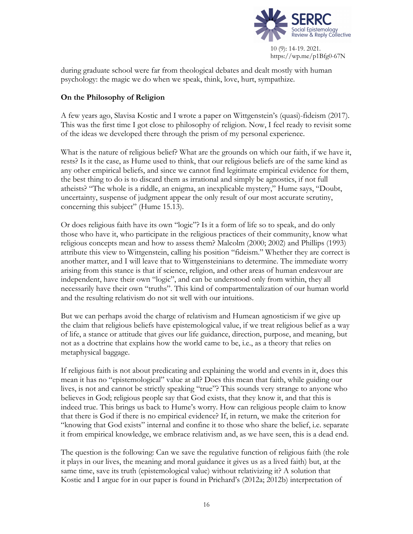

during graduate school were far from theological debates and dealt mostly with human psychology: the magic we do when we speak, think, love, hurt, sympathize.

### **On the Philosophy of Religion**

A few years ago, Slavisa Kostic and I wrote a paper on Wittgenstein's (quasi)-fideism (2017). This was the first time I got close to philosophy of religion. Now, I feel ready to revisit some of the ideas we developed there through the prism of my personal experience.

What is the nature of religious belief? What are the grounds on which our faith, if we have it, rests? Is it the case, as Hume used to think, that our religious beliefs are of the same kind as any other empirical beliefs, and since we cannot find legitimate empirical evidence for them, the best thing to do is to discard them as irrational and simply be agnostics, if not full atheists? "The whole is a riddle, an enigma, an inexplicable mystery," Hume says, "Doubt, uncertainty, suspense of judgment appear the only result of our most accurate scrutiny, concerning this subject" (Hume 15.13).

Or does religious faith have its own "logic"? Is it a form of life so to speak, and do only those who have it, who participate in the religious practices of their community, know what religious concepts mean and how to assess them? Malcolm (2000; 2002) and Phillips (1993) attribute this view to Wittgenstein, calling his position "fideism." Whether they are correct is another matter, and I will leave that to Wittgensteinians to determine. The immediate worry arising from this stance is that if science, religion, and other areas of human endeavour are independent, have their own "logic", and can be understood only from within, they all necessarily have their own "truths". This kind of compartmentalization of our human world and the resulting relativism do not sit well with our intuitions.

But we can perhaps avoid the charge of relativism and Humean agnosticism if we give up the claim that religious beliefs have epistemological value, if we treat religious belief as a way of life, a stance or attitude that gives our life guidance, direction, purpose, and meaning, but not as a doctrine that explains how the world came to be, i.e., as a theory that relies on metaphysical baggage.

If religious faith is not about predicating and explaining the world and events in it, does this mean it has no "epistemological" value at all? Does this mean that faith, while guiding our lives, is not and cannot be strictly speaking "true"? This sounds very strange to anyone who believes in God; religious people say that God exists, that they know it, and that this is indeed true. This brings us back to Hume's worry. How can religious people claim to know that there is God if there is no empirical evidence? If, in return, we make the criterion for "knowing that God exists" internal and confine it to those who share the belief, i.e. separate it from empirical knowledge, we embrace relativism and, as we have seen, this is a dead end.

The question is the following: Can we save the regulative function of religious faith (the role it plays in our lives, the meaning and moral guidance it gives us as a lived faith) but, at the same time, save its truth (epistemological value) without relativizing it? A solution that Kostic and I argue for in our paper is found in Prichard's (2012a; 2012b) interpretation of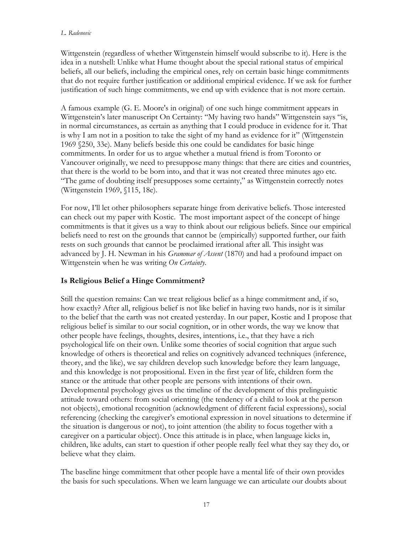#### *L. Radenovic*

Wittgenstein (regardless of whether Wittgenstein himself would subscribe to it). Here is the idea in a nutshell: Unlike what Hume thought about the special rational status of empirical beliefs, all our beliefs, including the empirical ones, rely on certain basic hinge commitments that do not require further justification or additional empirical evidence. If we ask for further justification of such hinge commitments, we end up with evidence that is not more certain.

A famous example (G. E. Moore's in original) of one such hinge commitment appears in Wittgenstein's later manuscript On Certainty: "My having two hands" Wittgenstein says "is, in normal circumstances, as certain as anything that I could produce in evidence for it. That is why I am not in a position to take the sight of my hand as evidence for it" (Wittgenstein 1969 §250, 33e). Many beliefs beside this one could be candidates for basic hinge commitments. In order for us to argue whether a mutual friend is from Toronto or Vancouver originally, we need to presuppose many things: that there are cities and countries, that there is the world to be born into, and that it was not created three minutes ago etc. "The game of doubting itself presupposes some certainty," as Wittgenstein correctly notes (Wittgenstein 1969, §115, 18e).

For now, I'll let other philosophers separate hinge from derivative beliefs. Those interested can check out my paper with Kostic. The most important aspect of the concept of hinge commitments is that it gives us a way to think about our religious beliefs. Since our empirical beliefs need to rest on the grounds that cannot be (empirically) supported further, our faith rests on such grounds that cannot be proclaimed irrational after all. This insight was advanced by J. H. Newman in his *Grammar of Assent* (1870) and had a profound impact on Wittgenstein when he was writing *On Certainty*.

# **Is Religious Belief a Hinge Commitment?**

Still the question remains: Can we treat religious belief as a hinge commitment and, if so, how exactly? After all, religious belief is not like belief in having two hands, nor is it similar to the belief that the earth was not created yesterday. In our paper, Kostic and I propose that religious belief is similar to our social cognition, or in other words, the way we know that other people have feelings, thoughts, desires, intentions, i.e., that they have a rich psychological life on their own. Unlike some theories of social cognition that argue such knowledge of others is theoretical and relies on cognitively advanced techniques (inference, theory, and the like), we say children develop such knowledge before they learn language, and this knowledge is not propositional. Even in the first year of life, children form the stance or the attitude that other people are persons with intentions of their own. Developmental psychology gives us the timeline of the development of this prelinguistic attitude toward others: from social orienting (the tendency of a child to look at the person not objects), emotional recognition (acknowledgment of different facial expressions), social referencing (checking the caregiver's emotional expression in novel situations to determine if the situation is dangerous or not), to joint attention (the ability to focus together with a caregiver on a particular object). Once this attitude is in place, when language kicks in, children, like adults, can start to question if other people really feel what they say they do, or believe what they claim.

The baseline hinge commitment that other people have a mental life of their own provides the basis for such speculations. When we learn language we can articulate our doubts about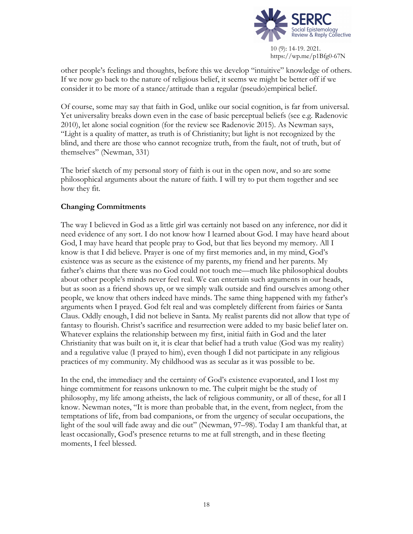

other people's feelings and thoughts, before this we develop "intuitive" knowledge of others. If we now go back to the nature of religious belief, it seems we might be better off if we consider it to be more of a stance/attitude than a regular (pseudo)empirical belief.

Of course, some may say that faith in God, unlike our social cognition, is far from universal. Yet universality breaks down even in the case of basic perceptual beliefs (see e.g. Radenovic 2010), let alone social cognition (for the review see Radenovic 2015). As Newman says, "Light is a quality of matter, as truth is of Christianity; but light is not recognized by the blind, and there are those who cannot recognize truth, from the fault, not of truth, but of themselves" (Newman, 331)

The brief sketch of my personal story of faith is out in the open now, and so are some philosophical arguments about the nature of faith. I will try to put them together and see how they fit.

### **Changing Commitments**

The way I believed in God as a little girl was certainly not based on any inference, nor did it need evidence of any sort. I do not know how I learned about God. I may have heard about God, I may have heard that people pray to God, but that lies beyond my memory. All I know is that I did believe. Prayer is one of my first memories and, in my mind, God's existence was as secure as the existence of my parents, my friend and her parents. My father's claims that there was no God could not touch me—much like philosophical doubts about other people's minds never feel real. We can entertain such arguments in our heads, but as soon as a friend shows up, or we simply walk outside and find ourselves among other people, we know that others indeed have minds. The same thing happened with my father's arguments when I prayed. God felt real and was completely different from fairies or Santa Claus. Oddly enough, I did not believe in Santa. My realist parents did not allow that type of fantasy to flourish. Christ's sacrifice and resurrection were added to my basic belief later on. Whatever explains the relationship between my first, initial faith in God and the later Christianity that was built on it, it is clear that belief had a truth value (God was my reality) and a regulative value (I prayed to him), even though I did not participate in any religious practices of my community. My childhood was as secular as it was possible to be.

In the end, the immediacy and the certainty of God's existence evaporated, and I lost my hinge commitment for reasons unknown to me. The culprit might be the study of philosophy, my life among atheists, the lack of religious community, or all of these, for all I know. Newman notes, "It is more than probable that, in the event, from neglect, from the temptations of life, from bad companions, or from the urgency of secular occupations, the light of the soul will fade away and die out" (Newman, 97–98). Today I am thankful that, at least occasionally, God's presence returns to me at full strength, and in these fleeting moments, I feel blessed.